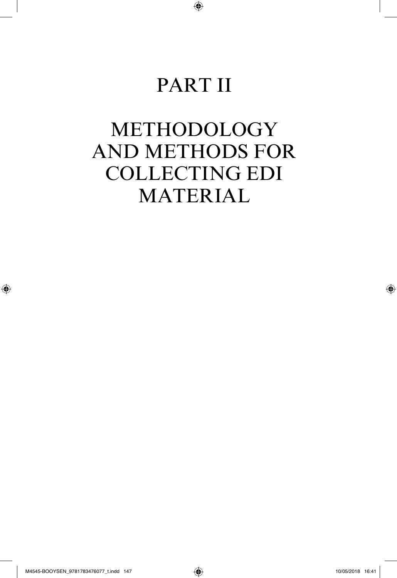# PART II

 $\bigoplus$ 

# METHODOLOGY AND METHODS FOR COLLECTING EDI MATERIAL

⊕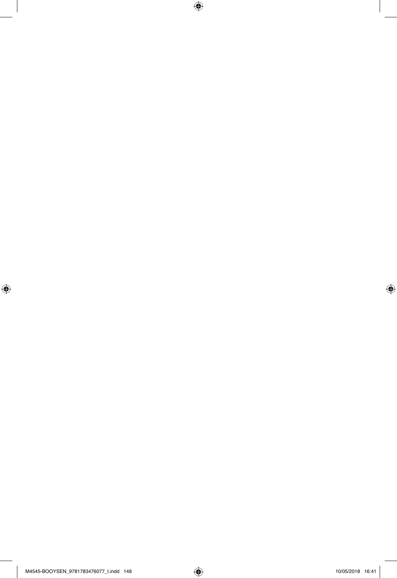

 $\overline{\phantom{a}}$ 

 $\bigoplus$ 

 $\bigoplus$ 

 $\bigoplus$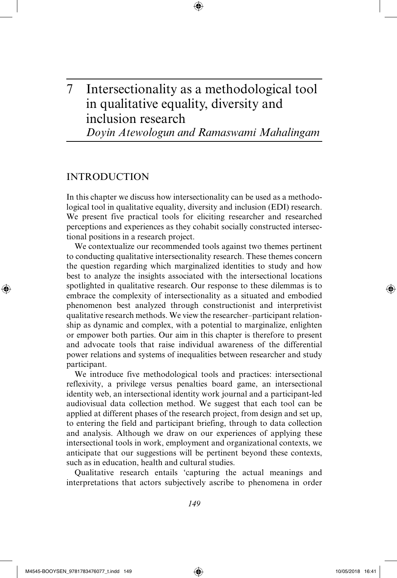# 7 Intersectionality as a methodological tool in qualitative equality, diversity and inclusion research *Doyin Atewologun and Ramaswami Mahalingam*

⊕

# INTRODUCTION

⊕

In this chapter we discuss how intersectionality can be used as a methodological tool in qualitative equality, diversity and inclusion (EDI) research. We present five practical tools for eliciting researcher and researched perceptions and experiences as they cohabit socially constructed intersectional positions in a research project.

We contextualize our recommended tools against two themes pertinent to conducting qualitative intersectionality research. These themes concern the question regarding which marginalized identities to study and how best to analyze the insights associated with the intersectional locations spotlighted in qualitative research. Our response to these dilemmas is to embrace the complexity of intersectionality as a situated and embodied phenomenon best analyzed through constructionist and interpretivist qualitative research methods. We view the researcher–participant relationship as dynamic and complex, with a potential to marginalize, enlighten or empower both parties. Our aim in this chapter is therefore to present and advocate tools that raise individual awareness of the differential power relations and systems of inequalities between researcher and study participant.

We introduce five methodological tools and practices: intersectional reflexivity, a privilege versus penalties board game, an intersectional identity web, an intersectional identity work journal and a participant-led audiovisual data collection method. We suggest that each tool can be applied at different phases of the research project, from design and set up, to entering the field and participant briefing, through to data collection and analysis. Although we draw on our experiences of applying these intersectional tools in work, employment and organizational contexts, we anticipate that our suggestions will be pertinent beyond these contexts, such as in education, health and cultural studies.

Qualitative research entails 'capturing the actual meanings and interpretations that actors subjectively ascribe to phenomena in order

*149*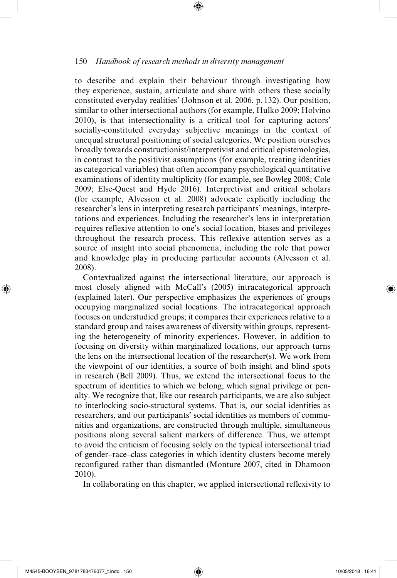⊕

to describe and explain their behaviour through investigating how they experience, sustain, articulate and share with others these socially constituted everyday realities' (Johnson et al. 2006, p. 132). Our position, similar to other intersectional authors (for example, Hulko 2009; Holvino 2010), is that intersectionality is a critical tool for capturing actors' socially-constituted everyday subjective meanings in the context of unequal structural positioning of social categories. We position ourselves broadly towards constructionist/interpretivist and critical epistemologies, in contrast to the positivist assumptions (for example, treating identities as categorical variables) that often accompany psychological quantitative examinations of identity multiplicity (for example, see Bowleg 2008; Cole 2009; Else-Quest and Hyde 2016). Interpretivist and critical scholars (for example, Alvesson et al. 2008) advocate explicitly including the researcher's lens in interpreting research participants' meanings, interpretations and experiences. Including the researcher's lens in interpretation requires reflexive attention to one's social location, biases and privileges throughout the research process. This reflexive attention serves as a source of insight into social phenomena, including the role that power and knowledge play in producing particular accounts (Alvesson et al. 2008).

Contextualized against the intersectional literature, our approach is most closely aligned with McCall's (2005) intracategorical approach (explained later). Our perspective emphasizes the experiences of groups occupying marginalized social locations. The intracategorical approach focuses on understudied groups; it compares their experiences relative to a standard group and raises awareness of diversity within groups, representing the heterogeneity of minority experiences. However, in addition to focusing on diversity within marginalized locations, our approach turns the lens on the intersectional location of the researcher(s). We work from the viewpoint of our identities, a source of both insight and blind spots in research (Bell 2009). Thus, we extend the intersectional focus to the spectrum of identities to which we belong, which signal privilege or penalty. We recognize that, like our research participants, we are also subject to interlocking socio-structural systems. That is, our social identities as researchers, and our participants' social identities as members of communities and organizations, are constructed through multiple, simultaneous positions along several salient markers of difference. Thus, we attempt to avoid the criticism of focusing solely on the typical intersectional triad of gender–race–class categories in which identity clusters become merely reconfigured rather than dismantled (Monture 2007, cited in Dhamoon 2010).

In collaborating on this chapter, we applied intersectional reflexivity to

⊕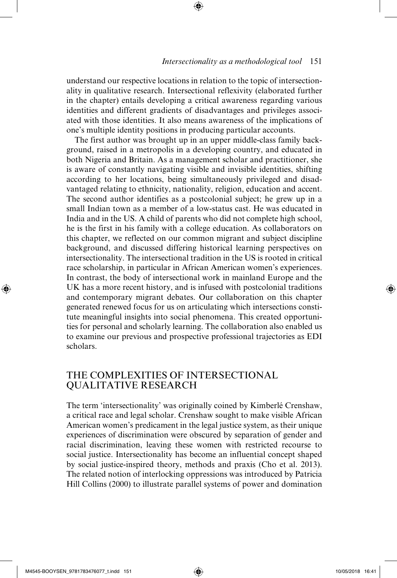# *Intersectionality as a methodological tool* 151

understand our respective locations in relation to the topic of intersectionality in qualitative research. Intersectional reflexivity (elaborated further in the chapter) entails developing a critical awareness regarding various identities and different gradients of disadvantages and privileges associated with those identities. It also means awareness of the implications of one's multiple identity positions in producing particular accounts.

⊕

The first author was brought up in an upper middle-class family background, raised in a metropolis in a developing country, and educated in both Nigeria and Britain. As a management scholar and practitioner, she is aware of constantly navigating visible and invisible identities, shifting according to her locations, being simultaneously privileged and disadvantaged relating to ethnicity, nationality, religion, education and accent. The second author identifies as a postcolonial subject; he grew up in a small Indian town as a member of a low-status cast. He was educated in India and in the US. A child of parents who did not complete high school, he is the first in his family with a college education. As collaborators on this chapter, we reflected on our common migrant and subject discipline background, and discussed differing historical learning perspectives on intersectionality. The intersectional tradition in the US is rooted in critical race scholarship, in particular in African American women's experiences. In contrast, the body of intersectional work in mainland Europe and the UK has a more recent history, and is infused with postcolonial traditions and contemporary migrant debates. Our collaboration on this chapter generated renewed focus for us on articulating which intersections constitute meaningful insights into social phenomena. This created opportunities for personal and scholarly learning. The collaboration also enabled us to examine our previous and prospective professional trajectories as EDI scholars.

# THE COMPLEXITIES OF INTERSECTIONAL QUALITATIVE RESEARCH

The term 'intersectionality' was originally coined by Kimberlé Crenshaw, a critical race and legal scholar. Crenshaw sought to make visible African American women's predicament in the legal justice system, as their unique experiences of discrimination were obscured by separation of gender and racial discrimination, leaving these women with restricted recourse to social justice. Intersectionality has become an influential concept shaped by social justice-inspired theory, methods and praxis (Cho et al. 2013). The related notion of interlocking oppressions was introduced by Patricia Hill Collins (2000) to illustrate parallel systems of power and domination

⊕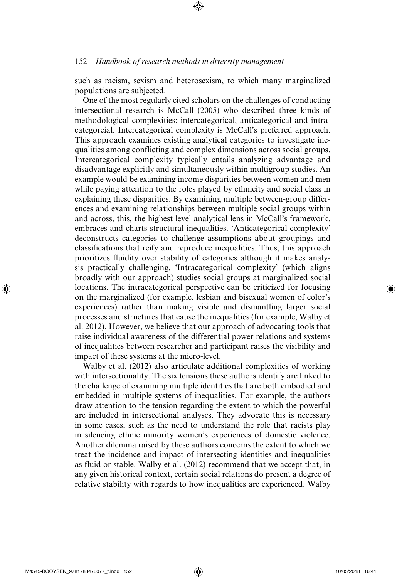such as racism, sexism and heterosexism, to which many marginalized populations are subjected.

⊕

One of the most regularly cited scholars on the challenges of conducting intersectional research is McCall (2005) who described three kinds of methodological complexities: intercategorical, anticategorical and intracategorcial. Intercategorical complexity is McCall's preferred approach. This approach examines existing analytical categories to investigate inequalities among conflicting and complex dimensions across social groups. Intercategorical complexity typically entails analyzing advantage and disadvantage explicitly and simultaneously within multigroup studies. An example would be examining income disparities between women and men while paying attention to the roles played by ethnicity and social class in explaining these disparities. By examining multiple between-group differences and examining relationships between multiple social groups within and across, this, the highest level analytical lens in McCall's framework, embraces and charts structural inequalities. 'Anticategorical complexity' deconstructs categories to challenge assumptions about groupings and classifications that reify and reproduce inequalities. Thus, this approach prioritizes fluidity over stability of categories although it makes analysis practically challenging. 'Intracategorical complexity' (which aligns broadly with our approach) studies social groups at marginalized social locations. The intracategorical perspective can be criticized for focusing on the marginalized (for example, lesbian and bisexual women of color's experiences) rather than making visible and dismantling larger social processes and structures that cause the inequalities (for example, Walby et al. 2012). However, we believe that our approach of advocating tools that raise individual awareness of the differential power relations and systems of inequalities between researcher and participant raises the visibility and impact of these systems at the micro-level.

Walby et al. (2012) also articulate additional complexities of working with intersectionality. The six tensions these authors identify are linked to the challenge of examining multiple identities that are both embodied and embedded in multiple systems of inequalities. For example, the authors draw attention to the tension regarding the extent to which the powerful are included in intersectional analyses. They advocate this is necessary in some cases, such as the need to understand the role that racists play in silencing ethnic minority women's experiences of domestic violence. Another dilemma raised by these authors concerns the extent to which we treat the incidence and impact of intersecting identities and inequalities as fluid or stable. Walby et al. (2012) recommend that we accept that, in any given historical context, certain social relations do present a degree of relative stability with regards to how inequalities are experienced. Walby

⊕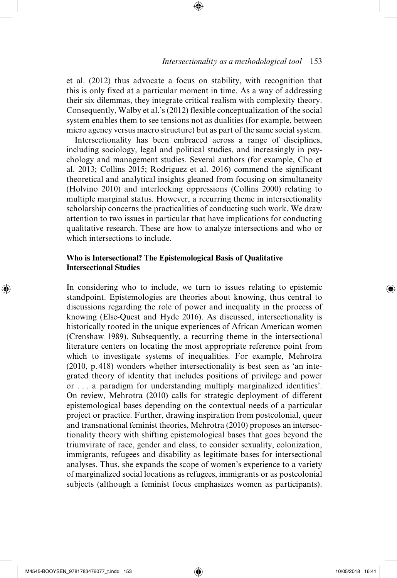# *Intersectionality as a methodological tool* 153

et al. (2012) thus advocate a focus on stability, with recognition that this is only fixed at a particular moment in time. As a way of addressing their six dilemmas, they integrate critical realism with complexity theory. Consequently, Walby et al.'s (2012) flexible conceptualization of the social system enables them to see tensions not as dualities (for example, between micro agency versus macro structure) but as part of the same social system.

⊕

Intersectionality has been embraced across a range of disciplines, including sociology, legal and political studies, and increasingly in psychology and management studies. Several authors (for example, Cho et al. 2013; Collins 2015; Rodriguez et al. 2016) commend the significant theoretical and analytical insights gleaned from focusing on simultaneity (Holvino 2010) and interlocking oppressions (Collins 2000) relating to multiple marginal status. However, a recurring theme in intersectionality scholarship concerns the practicalities of conducting such work. We draw attention to two issues in particular that have implications for conducting qualitative research. These are how to analyze intersections and who or which intersections to include.

# **Who is Intersectional? The Epistemological Basis of Qualitative Intersectional Studies**

In considering who to include, we turn to issues relating to epistemic standpoint. Epistemologies are theories about knowing, thus central to discussions regarding the role of power and inequality in the process of knowing (Else-Quest and Hyde 2016). As discussed, intersectionality is historically rooted in the unique experiences of African American women (Crenshaw 1989). Subsequently, a recurring theme in the intersectional literature centers on locating the most appropriate reference point from which to investigate systems of inequalities. For example, Mehrotra (2010, p.418) wonders whether intersectionality is best seen as 'an integrated theory of identity that includes positions of privilege and power or . . . a paradigm for understanding multiply marginalized identities'. On review, Mehrotra (2010) calls for strategic deployment of different epistemological bases depending on the contextual needs of a particular project or practice. Further, drawing inspiration from postcolonial, queer and transnational feminist theories, Mehrotra (2010) proposes an intersectionality theory with shifting epistemological bases that goes beyond the triumvirate of race, gender and class, to consider sexuality, colonization, immigrants, refugees and disability as legitimate bases for intersectional analyses. Thus, she expands the scope of women's experience to a variety of marginalized social locations as refugees, immigrants or as postcolonial subjects (although a feminist focus emphasizes women as participants).

⊕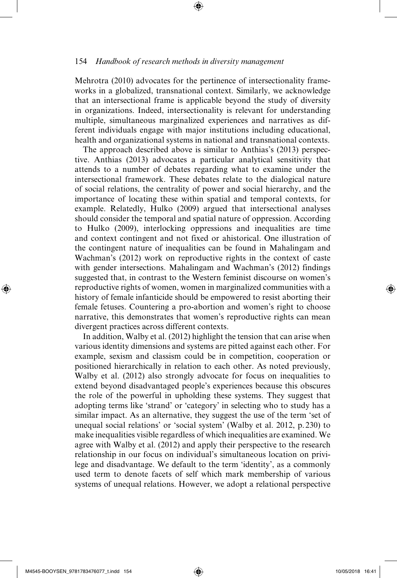Mehrotra (2010) advocates for the pertinence of intersectionality frameworks in a globalized, transnational context. Similarly, we acknowledge that an intersectional frame is applicable beyond the study of diversity in organizations. Indeed, intersectionality is relevant for understanding multiple, simultaneous marginalized experiences and narratives as different individuals engage with major institutions including educational, health and organizational systems in national and transnational contexts.

⊕

The approach described above is similar to Anthias's (2013) perspective. Anthias (2013) advocates a particular analytical sensitivity that attends to a number of debates regarding what to examine under the intersectional framework. These debates relate to the dialogical nature of social relations, the centrality of power and social hierarchy, and the importance of locating these within spatial and temporal contexts, for example. Relatedly, Hulko (2009) argued that intersectional analyses should consider the temporal and spatial nature of oppression. According to Hulko (2009), interlocking oppressions and inequalities are time and context contingent and not fixed or ahistorical. One illustration of the contingent nature of inequalities can be found in Mahalingam and Wachman's (2012) work on reproductive rights in the context of caste with gender intersections. Mahalingam and Wachman's (2012) findings suggested that, in contrast to the Western feminist discourse on women's reproductive rights of women, women in marginalized communities with a history of female infanticide should be empowered to resist aborting their female fetuses. Countering a pro-abortion and women's right to choose narrative, this demonstrates that women's reproductive rights can mean divergent practices across different contexts.

In addition, Walby et al. (2012) highlight the tension that can arise when various identity dimensions and systems are pitted against each other. For example, sexism and classism could be in competition, cooperation or positioned hierarchically in relation to each other. As noted previously, Walby et al. (2012) also strongly advocate for focus on inequalities to extend beyond disadvantaged people's experiences because this obscures the role of the powerful in upholding these systems. They suggest that adopting terms like 'strand' or 'category' in selecting who to study has a similar impact. As an alternative, they suggest the use of the term 'set of unequal social relations' or 'social system' (Walby et al. 2012, p. 230) to make inequalities visible regardless of which inequalities are examined. We agree with Walby et al. (2012) and apply their perspective to the research relationship in our focus on individual's simultaneous location on privilege and disadvantage. We default to the term 'identity', as a commonly used term to denote facets of self which mark membership of various systems of unequal relations. However, we adopt a relational perspective

⊕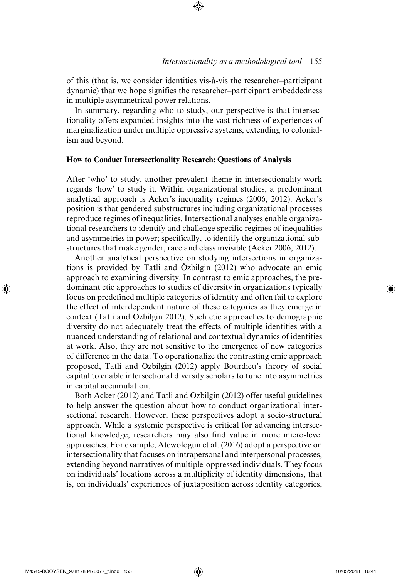of this (that is, we consider identities vis-à-vis the researcher–participant dynamic) that we hope signifies the researcher–participant embeddedness in multiple asymmetrical power relations.

⊕

In summary, regarding who to study, our perspective is that intersectionality offers expanded insights into the vast richness of experiences of marginalization under multiple oppressive systems, extending to colonialism and beyond.

#### **How to Conduct Intersectionality Research: Questions of Analysis**

After 'who' to study, another prevalent theme in intersectionality work regards 'how' to study it. Within organizational studies, a predominant analytical approach is Acker's inequality regimes (2006, 2012). Acker's position is that gendered substructures including organizational processes reproduce regimes of inequalities. Intersectional analyses enable organizational researchers to identify and challenge specific regimes of inequalities and asymmetries in power; specifically, to identify the organizational substructures that make gender, race and class invisible (Acker 2006, 2012).

Another analytical perspective on studying intersections in organizations is provided by Tatli and Özbilgin (2012) who advocate an emic approach to examining diversity. In contrast to emic approaches, the predominant etic approaches to studies of diversity in organizations typically focus on predefined multiple categories of identity and often fail to explore the effect of interdependent nature of these categories as they emerge in context (Tatli and Ozbilgin 2012). Such etic approaches to demographic diversity do not adequately treat the effects of multiple identities with a nuanced understanding of relational and contextual dynamics of identities at work. Also, they are not sensitive to the emergence of new categories of difference in the data. To operationalize the contrasting emic approach proposed, Tatli and Ozbilgin (2012) apply Bourdieu's theory of social capital to enable intersectional diversity scholars to tune into asymmetries in capital accumulation.

Both Acker (2012) and Tatli and Ozbilgin (2012) offer useful guidelines to help answer the question about how to conduct organizational intersectional research. However, these perspectives adopt a socio-structural approach. While a systemic perspective is critical for advancing intersectional knowledge, researchers may also find value in more micro-level approaches. For example, Atewologun et al. (2016) adopt a perspective on intersectionality that focuses on intrapersonal and interpersonal processes, extending beyond narratives of multiple-oppressed individuals. They focus on individuals' locations across a multiplicity of identity dimensions, that is, on individuals' experiences of juxtaposition across identity categories,

⊕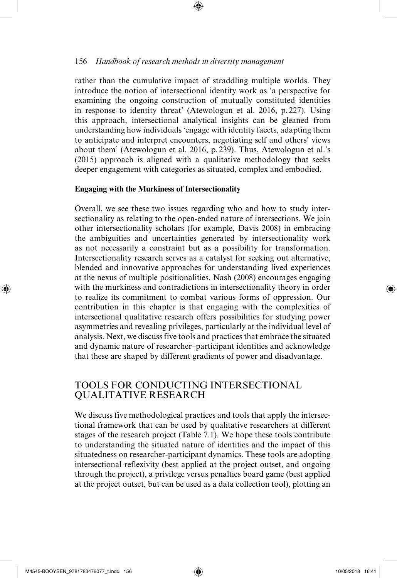rather than the cumulative impact of straddling multiple worlds. They introduce the notion of intersectional identity work as 'a perspective for examining the ongoing construction of mutually constituted identities in response to identity threat' (Atewologun et al. 2016, p. 227). Using this approach, intersectional analytical insights can be gleaned from understanding how individuals 'engage with identity facets, adapting them to anticipate and interpret encounters, negotiating self and others' views about them' (Atewologun et al. 2016, p.239). Thus, Atewologun et al.'s (2015) approach is aligned with a qualitative methodology that seeks deeper engagement with categories as situated, complex and embodied.

⊕

# **Engaging with the Murkiness of Intersectionality**

Overall, we see these two issues regarding who and how to study intersectionality as relating to the open-ended nature of intersections. We join other intersectionality scholars (for example, Davis 2008) in embracing the ambiguities and uncertainties generated by intersectionality work as not necessarily a constraint but as a possibility for transformation. Intersectionality research serves as a catalyst for seeking out alternative, blended and innovative approaches for understanding lived experiences at the nexus of multiple positionalities. Nash (2008) encourages engaging with the murkiness and contradictions in intersectionality theory in order to realize its commitment to combat various forms of oppression. Our contribution in this chapter is that engaging with the complexities of intersectional qualitative research offers possibilities for studying power asymmetries and revealing privileges, particularly at the individual level of analysis. Next, we discuss five tools and practices that embrace the situated and dynamic nature of researcher–participant identities and acknowledge that these are shaped by different gradients of power and disadvantage.

# TOOLS FOR CONDUCTING INTERSECTIONAL QUALITATIVE RESEARCH

We discuss five methodological practices and tools that apply the intersectional framework that can be used by qualitative researchers at different stages of the research project (Table 7.1). We hope these tools contribute to understanding the situated nature of identities and the impact of this situatedness on researcher-participant dynamics. These tools are adopting intersectional reflexivity (best applied at the project outset, and ongoing through the project), a privilege versus penalties board game (best applied at the project outset, but can be used as a data collection tool), plotting an

⊕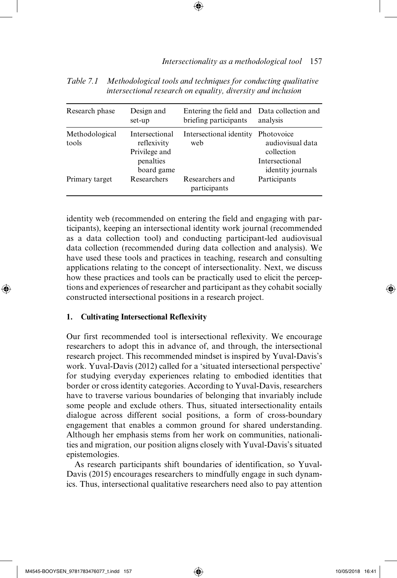| Research phase          | Design and<br>set-up                                                      | Entering the field and Data collection and<br>briefing participants | analysis                                                                            |
|-------------------------|---------------------------------------------------------------------------|---------------------------------------------------------------------|-------------------------------------------------------------------------------------|
| Methodological<br>tools | Intersectional<br>reflexivity<br>Privilege and<br>penalties<br>board game | Intersectional identity<br>web                                      | Photovoice<br>audiovisual data<br>collection<br>Intersectional<br>identity journals |
| Primary target          | Researchers                                                               | Researchers and<br>participants                                     | Participants                                                                        |

*Table 7.1 Methodological tools and techniques for conducting qualitative intersectional research on equality, diversity and inclusion*

⊕

identity web (recommended on entering the field and engaging with participants), keeping an intersectional identity work journal (recommended as a data collection tool) and conducting participant-led audiovisual data collection (recommended during data collection and analysis). We have used these tools and practices in teaching, research and consulting applications relating to the concept of intersectionality. Next, we discuss how these practices and tools can be practically used to elicit the perceptions and experiences of researcher and participant as they cohabit socially constructed intersectional positions in a research project.

# **1. Cultivating Intersectional Reflexivity**

Our first recommended tool is intersectional reflexivity. We encourage researchers to adopt this in advance of, and through, the intersectional research project. This recommended mindset is inspired by Yuval-Davis's work. Yuval-Davis (2012) called for a 'situated intersectional perspective' for studying everyday experiences relating to embodied identities that border or cross identity categories. According to Yuval-Davis, researchers have to traverse various boundaries of belonging that invariably include some people and exclude others. Thus, situated intersectionality entails dialogue across different social positions, a form of cross-boundary engagement that enables a common ground for shared understanding. Although her emphasis stems from her work on communities, nationalities and migration, our position aligns closely with Yuval-Davis's situated epistemologies.

As research participants shift boundaries of identification, so Yuval-Davis (2015) encourages researchers to mindfully engage in such dynamics. Thus, intersectional qualitative researchers need also to pay attention

⊕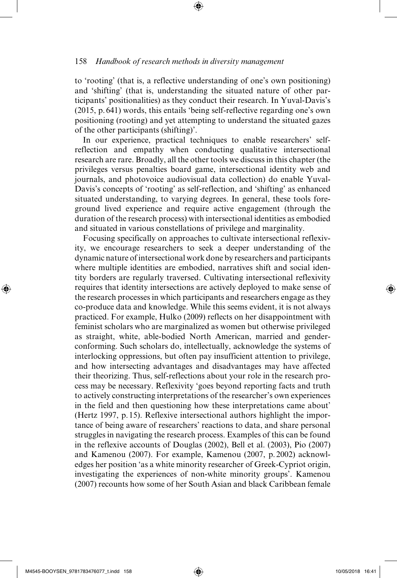to 'rooting' (that is, a reflective understanding of one's own positioning) and 'shifting' (that is, understanding the situated nature of other participants' positionalities) as they conduct their research. In Yuval-Davis's (2015, p. 641) words, this entails 'being self-reflective regarding one's own positioning (rooting) and yet attempting to understand the situated gazes of the other participants (shifting)'.

⊕

In our experience, practical techniques to enable researchers' selfreflection and empathy when conducting qualitative intersectional research are rare. Broadly, all the other tools we discuss in this chapter (the privileges versus penalties board game, intersectional identity web and journals, and photovoice audiovisual data collection) do enable Yuval-Davis's concepts of 'rooting' as self-reflection, and 'shifting' as enhanced situated understanding, to varying degrees. In general, these tools foreground lived experience and require active engagement (through the duration of the research process) with intersectional identities as embodied and situated in various constellations of privilege and marginality.

Focusing specifically on approaches to cultivate intersectional reflexivity, we encourage researchers to seek a deeper understanding of the dynamic nature of intersectional work done by researchers and participants where multiple identities are embodied, narratives shift and social identity borders are regularly traversed. Cultivating intersectional reflexivity requires that identity intersections are actively deployed to make sense of the research processes in which participants and researchers engage as they co-produce data and knowledge. While this seems evident, it is not always practiced. For example, Hulko (2009) reflects on her disappointment with feminist scholars who are marginalized as women but otherwise privileged as straight, white, able-bodied North American, married and genderconforming. Such scholars do, intellectually, acknowledge the systems of interlocking oppressions, but often pay insufficient attention to privilege, and how intersecting advantages and disadvantages may have affected their theorizing. Thus, self-reflections about your role in the research process may be necessary. Reflexivity 'goes beyond reporting facts and truth to actively constructing interpretations of the researcher's own experiences in the field and then questioning how these interpretations came about' (Hertz 1997, p.15). Reflexive intersectional authors highlight the importance of being aware of researchers' reactions to data, and share personal struggles in navigating the research process. Examples of this can be found in the reflexive accounts of Douglas (2002), Bell et al. (2003), Pio (2007) and Kamenou (2007). For example, Kamenou (2007, p. 2002) acknowledges her position 'as a white minority researcher of Greek-Cypriot origin, investigating the experiences of non-white minority groups'. Kamenou (2007) recounts how some of her South Asian and black Caribbean female

⊕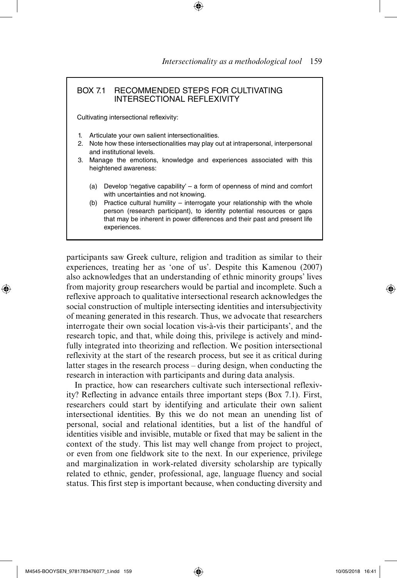# BOX 7.1 RECOMMENDED STEPS FOR CULTIVATING INTERSECTIONAL REFLEXIVITY

Cultivating intersectional reflexivity:

- 1. Articulate your own salient intersectionalities.
- 2. Note how these intersectionalities may play out at intrapersonal, interpersonal and institutional levels.

⊕

- 3. Manage the emotions, knowledge and experiences associated with this heightened awareness:
	- (a) Develop 'negative capability' a form of openness of mind and comfort with uncertainties and not knowing.
	- (b) Practice cultural humility interrogate your relationship with the whole person (research participant), to identity potential resources or gaps that may be inherent in power differences and their past and present life experiences.

participants saw Greek culture, religion and tradition as similar to their experiences, treating her as 'one of us'. Despite this Kamenou (2007) also acknowledges that an understanding of ethnic minority groups' lives from majority group researchers would be partial and incomplete. Such a reflexive approach to qualitative intersectional research acknowledges the social construction of multiple intersecting identities and intersubjectivity of meaning generated in this research. Thus, we advocate that researchers interrogate their own social location vis-à-vis their participants', and the research topic, and that, while doing this, privilege is actively and mindfully integrated into theorizing and reflection. We position intersectional reflexivity at the start of the research process, but see it as critical during latter stages in the research process – during design, when conducting the research in interaction with participants and during data analysis.

In practice, how can researchers cultivate such intersectional reflexivity? Reflecting in advance entails three important steps (Box 7.1). First, researchers could start by identifying and articulate their own salient intersectional identities. By this we do not mean an unending list of personal, social and relational identities, but a list of the handful of identities visible and invisible, mutable or fixed that may be salient in the context of the study. This list may well change from project to project, or even from one fieldwork site to the next. In our experience, privilege and marginalization in work-related diversity scholarship are typically related to ethnic, gender, professional, age, language fluency and social status. This first step is important because, when conducting diversity and

⊕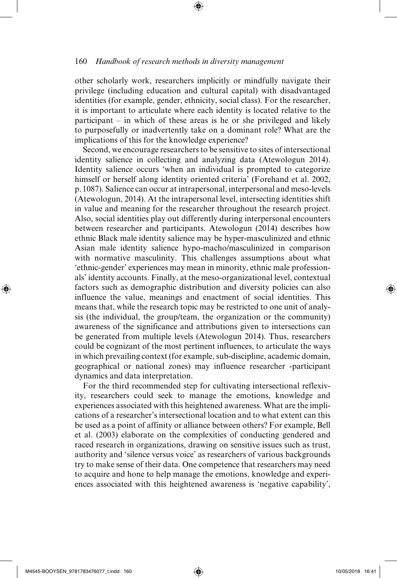other scholarly work, researchers implicitly or mindfully navigate their privilege (including education and cultural capital) with disadvantaged identities (for example, gender, ethnicity, social class). For the researcher, it is important to articulate where each identity is located relative to the participant – in which of these areas is he or she privileged and likely to purposefully or inadvertently take on a dominant role? What are the implications of this for the knowledge experience?

⊕

Second, we encourage researchers to be sensitive to sites of intersectional identity salience in collecting and analyzing data (Atewologun 2014). Identity salience occurs 'when an individual is prompted to categorize himself or herself along identity oriented criteria' (Forehand et al. 2002, p.1087). Salience can occur at intrapersonal, interpersonal and meso-levels (Atewologun, 2014). At the intrapersonal level, intersecting identities shift in value and meaning for the researcher throughout the research project. Also, social identities play out differently during interpersonal encounters between researcher and participants. Atewologun (2014) describes how ethnic Black male identity salience may be hyper-masculinized and ethnic Asian male identity salience hypo-macho/masculinized in comparison with normative masculinity. This challenges assumptions about what 'ethnic-gender' experiences may mean in minority, ethnic male professionals' identity accounts. Finally, at the meso-organizational level, contextual factors such as demographic distribution and diversity policies can also influence the value, meanings and enactment of social identities. This means that, while the research topic may be restricted to one unit of analysis (the individual, the group/team, the organization or the community) awareness of the significance and attributions given to intersections can be generated from multiple levels (Atewologun 2014). Thus, researchers could be cognizant of the most pertinent influences, to articulate the ways in which prevailing context (for example, sub-discipline, academic domain, geographical or national zones) may influence researcher -participant dynamics and data interpretation.

For the third recommended step for cultivating intersectional reflexivity, researchers could seek to manage the emotions, knowledge and experiences associated with this heightened awareness. What are the implications of a researcher's intersectional location and to what extent can this be used as a point of affinity or alliance between others? For example, Bell et al. (2003) elaborate on the complexities of conducting gendered and raced research in organizations, drawing on sensitive issues such as trust, authority and 'silence versus voice' as researchers of various backgrounds try to make sense of their data. One competence that researchers may need to acquire and hone to help manage the emotions, knowledge and experiences associated with this heightened awareness is 'negative capability',

⊕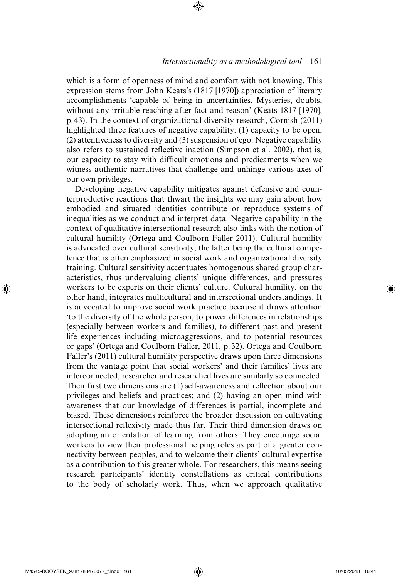which is a form of openness of mind and comfort with not knowing. This expression stems from John Keats's (1817 [1970]) appreciation of literary accomplishments 'capable of being in uncertainties. Mysteries, doubts, without any irritable reaching after fact and reason' (Keats 1817 [1970], p.43). In the context of organizational diversity research, Cornish (2011) highlighted three features of negative capability: (1) capacity to be open; (2) attentiveness to diversity and (3) suspension of ego. Negative capability also refers to sustained reflective inaction (Simpson et al. 2002), that is, our capacity to stay with difficult emotions and predicaments when we witness authentic narratives that challenge and unhinge various axes of our own privileges.

⊕

Developing negative capability mitigates against defensive and counterproductive reactions that thwart the insights we may gain about how embodied and situated identities contribute or reproduce systems of inequalities as we conduct and interpret data. Negative capability in the context of qualitative intersectional research also links with the notion of cultural humility (Ortega and Coulborn Faller 2011). Cultural humility is advocated over cultural sensitivity, the latter being the cultural competence that is often emphasized in social work and organizational diversity training. Cultural sensitivity accentuates homogenous shared group characteristics, thus undervaluing clients' unique differences, and pressures workers to be experts on their clients' culture. Cultural humility, on the other hand, integrates multicultural and intersectional understandings. It is advocated to improve social work practice because it draws attention 'to the diversity of the whole person, to power differences in relationships (especially between workers and families), to different past and present life experiences including microaggressions, and to potential resources or gaps' (Ortega and Coulborn Faller, 2011, p. 32). Ortega and Coulborn Faller's (2011) cultural humility perspective draws upon three dimensions from the vantage point that social workers' and their families' lives are interconnected; researcher and researched lives are similarly so connected. Their first two dimensions are (1) self-awareness and reflection about our privileges and beliefs and practices; and (2) having an open mind with awareness that our knowledge of differences is partial, incomplete and biased. These dimensions reinforce the broader discussion on cultivating intersectional reflexivity made thus far. Their third dimension draws on adopting an orientation of learning from others. They encourage social workers to view their professional helping roles as part of a greater connectivity between peoples, and to welcome their clients' cultural expertise as a contribution to this greater whole. For researchers, this means seeing research participants' identity constellations as critical contributions to the body of scholarly work. Thus, when we approach qualitative

⊕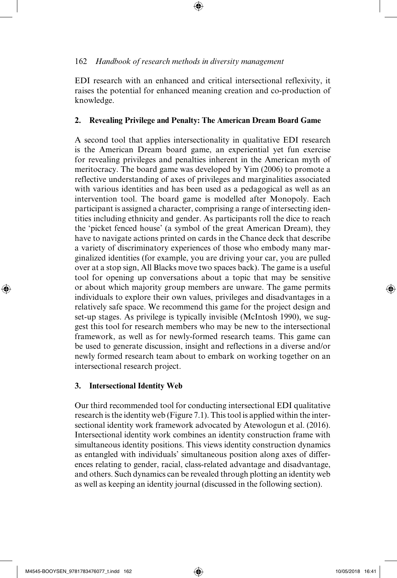EDI research with an enhanced and critical intersectional reflexivity, it raises the potential for enhanced meaning creation and co-production of knowledge.

⊕

# **2. Revealing Privilege and Penalty: The American Dream Board Game**

A second tool that applies intersectionality in qualitative EDI research is the American Dream board game, an experiential yet fun exercise for revealing privileges and penalties inherent in the American myth of meritocracy. The board game was developed by Yim (2006) to promote a reflective understanding of axes of privileges and marginalities associated with various identities and has been used as a pedagogical as well as an intervention tool. The board game is modelled after Monopoly. Each participant is assigned a character, comprising a range of intersecting identities including ethnicity and gender. As participants roll the dice to reach the 'picket fenced house' (a symbol of the great American Dream), they have to navigate actions printed on cards in the Chance deck that describe a variety of discriminatory experiences of those who embody many marginalized identities (for example, you are driving your car, you are pulled over at a stop sign, All Blacks move two spaces back). The game is a useful tool for opening up conversations about a topic that may be sensitive or about which majority group members are unware. The game permits individuals to explore their own values, privileges and disadvantages in a relatively safe space. We recommend this game for the project design and set-up stages. As privilege is typically invisible (McIntosh 1990), we suggest this tool for research members who may be new to the intersectional framework, as well as for newly-formed research teams. This game can be used to generate discussion, insight and reflections in a diverse and/or newly formed research team about to embark on working together on an intersectional research project.

#### **3. Intersectional Identity Web**

Our third recommended tool for conducting intersectional EDI qualitative research is the identity web (Figure 7.1). This tool is applied within the intersectional identity work framework advocated by Atewologun et al. (2016). Intersectional identity work combines an identity construction frame with simultaneous identity positions. This views identity construction dynamics as entangled with individuals' simultaneous position along axes of differences relating to gender, racial, class-related advantage and disadvantage, and others. Such dynamics can be revealed through plotting an identity web as well as keeping an identity journal (discussed in the following section).

⊕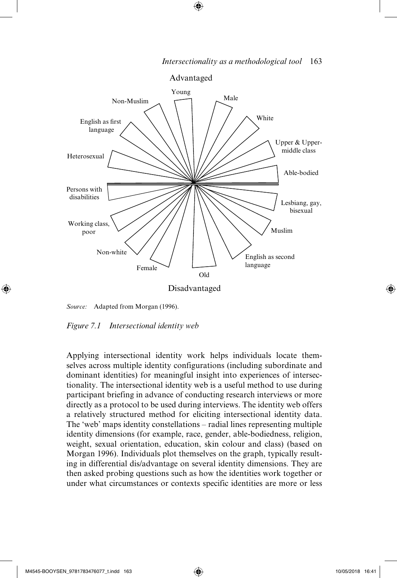Advantaged Disadvantaged Old Muslim English as second language Lesbiang, gay, bisexual Upper & Uppermiddle class White Male Young Non-Muslim Heterosexual Persons with disabilities Working class, poor Non-white Female Able-bodied English as first language

 $\bigoplus$ 

*Intersectionality as a methodological tool* 163

*Source:* Adapted from Morgan (1996).

◈



Applying intersectional identity work helps individuals locate themselves across multiple identity configurations (including subordinate and dominant identities) for meaningful insight into experiences of intersectionality. The intersectional identity web is a useful method to use during participant briefing in advance of conducting research interviews or more directly as a protocol to be used during interviews. The identity web offers a relatively structured method for eliciting intersectional identity data. The 'web' maps identity constellations – radial lines representing multiple identity dimensions (for example, race, gender, able-bodiedness, religion, weight, sexual orientation, education, skin colour and class) (based on Morgan 1996). Individuals plot themselves on the graph, typically resulting in differential dis/advantage on several identity dimensions. They are then asked probing questions such as how the identities work together or under what circumstances or contexts specific identities are more or less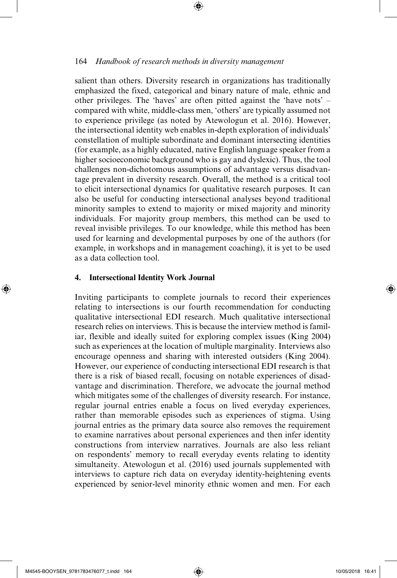⊕

salient than others. Diversity research in organizations has traditionally emphasized the fixed, categorical and binary nature of male, ethnic and other privileges. The 'haves' are often pitted against the 'have nots' – compared with white, middle-class men, 'others' are typically assumed not to experience privilege (as noted by Atewologun et al. 2016). However, the intersectional identity web enables in-depth exploration of individuals' constellation of multiple subordinate and dominant intersecting identities (for example, as a highly educated, native English language speaker from a higher socioeconomic background who is gay and dyslexic). Thus, the tool challenges non-dichotomous assumptions of advantage versus disadvantage prevalent in diversity research. Overall, the method is a critical tool to elicit intersectional dynamics for qualitative research purposes. It can also be useful for conducting intersectional analyses beyond traditional minority samples to extend to majority or mixed majority and minority individuals. For majority group members, this method can be used to reveal invisible privileges. To our knowledge, while this method has been used for learning and developmental purposes by one of the authors (for example, in workshops and in management coaching), it is yet to be used as a data collection tool.

#### **4. Intersectional Identity Work Journal**

Inviting participants to complete journals to record their experiences relating to intersections is our fourth recommendation for conducting qualitative intersectional EDI research. Much qualitative intersectional research relies on interviews. This is because the interview method is familiar, flexible and ideally suited for exploring complex issues (King 2004) such as experiences at the location of multiple marginality. Interviews also encourage openness and sharing with interested outsiders (King 2004). However, our experience of conducting intersectional EDI research is that there is a risk of biased recall, focusing on notable experiences of disadvantage and discrimination. Therefore, we advocate the journal method which mitigates some of the challenges of diversity research. For instance, regular journal entries enable a focus on lived everyday experiences, rather than memorable episodes such as experiences of stigma. Using journal entries as the primary data source also removes the requirement to examine narratives about personal experiences and then infer identity constructions from interview narratives. Journals are also less reliant on respondents' memory to recall everyday events relating to identity simultaneity. Atewologun et al. (2016) used journals supplemented with interviews to capture rich data on everyday identity-heightening events experienced by senior-level minority ethnic women and men. For each

⊕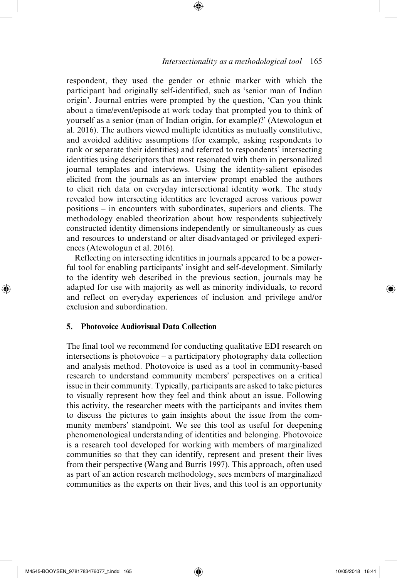# *Intersectionality as a methodological tool* 165

respondent, they used the gender or ethnic marker with which the participant had originally self-identified, such as 'senior man of Indian origin'. Journal entries were prompted by the question, 'Can you think about a time/event/episode at work today that prompted you to think of yourself as a senior (man of Indian origin, for example)?' (Atewologun et al. 2016). The authors viewed multiple identities as mutually constitutive, and avoided additive assumptions (for example, asking respondents to rank or separate their identities) and referred to respondents' intersecting identities using descriptors that most resonated with them in personalized journal templates and interviews. Using the identity-salient episodes elicited from the journals as an interview prompt enabled the authors to elicit rich data on everyday intersectional identity work. The study revealed how intersecting identities are leveraged across various power positions – in encounters with subordinates, superiors and clients. The methodology enabled theorization about how respondents subjectively constructed identity dimensions independently or simultaneously as cues and resources to understand or alter disadvantaged or privileged experiences (Atewologun et al. 2016).

⊕

Reflecting on intersecting identities in journals appeared to be a powerful tool for enabling participants' insight and self-development. Similarly to the identity web described in the previous section, journals may be adapted for use with majority as well as minority individuals, to record and reflect on everyday experiences of inclusion and privilege and/or exclusion and subordination.

#### **5. Photovoice Audiovisual Data Collection**

The final tool we recommend for conducting qualitative EDI research on intersections is photovoice – a participatory photography data collection and analysis method. Photovoice is used as a tool in community-based research to understand community members' perspectives on a critical issue in their community. Typically, participants are asked to take pictures to visually represent how they feel and think about an issue. Following this activity, the researcher meets with the participants and invites them to discuss the pictures to gain insights about the issue from the community members' standpoint. We see this tool as useful for deepening phenomenological understanding of identities and belonging. Photovoice is a research tool developed for working with members of marginalized communities so that they can identify, represent and present their lives from their perspective (Wang and Burris 1997). This approach, often used as part of an action research methodology, sees members of marginalized communities as the experts on their lives, and this tool is an opportunity

⊕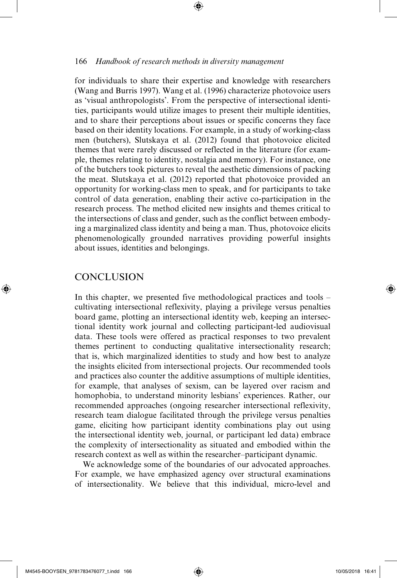⊕

for individuals to share their expertise and knowledge with researchers (Wang and Burris 1997). Wang et al. (1996) characterize photovoice users as 'visual anthropologists'. From the perspective of intersectional identities, participants would utilize images to present their multiple identities, and to share their perceptions about issues or specific concerns they face based on their identity locations. For example, in a study of working-class men (butchers), Slutskaya et al. (2012) found that photovoice elicited themes that were rarely discussed or reflected in the literature (for example, themes relating to identity, nostalgia and memory). For instance, one of the butchers took pictures to reveal the aesthetic dimensions of packing the meat. Slutskaya et al. (2012) reported that photovoice provided an opportunity for working-class men to speak, and for participants to take control of data generation, enabling their active co-participation in the research process. The method elicited new insights and themes critical to the intersections of class and gender, such as the conflict between embodying a marginalized class identity and being a man. Thus, photovoice elicits phenomenologically grounded narratives providing powerful insights about issues, identities and belongings.

# **CONCLUSION**

⊕

In this chapter, we presented five methodological practices and tools – cultivating intersectional reflexivity, playing a privilege versus penalties board game, plotting an intersectional identity web, keeping an intersectional identity work journal and collecting participant-led audiovisual data. These tools were offered as practical responses to two prevalent themes pertinent to conducting qualitative intersectionality research; that is, which marginalized identities to study and how best to analyze the insights elicited from intersectional projects. Our recommended tools and practices also counter the additive assumptions of multiple identities, for example, that analyses of sexism, can be layered over racism and homophobia, to understand minority lesbians' experiences. Rather, our recommended approaches (ongoing researcher intersectional reflexivity, research team dialogue facilitated through the privilege versus penalties game, eliciting how participant identity combinations play out using the intersectional identity web, journal, or participant led data) embrace the complexity of intersectionality as situated and embodied within the research context as well as within the researcher–participant dynamic.

We acknowledge some of the boundaries of our advocated approaches. For example, we have emphasized agency over structural examinations of intersectionality. We believe that this individual, micro-level and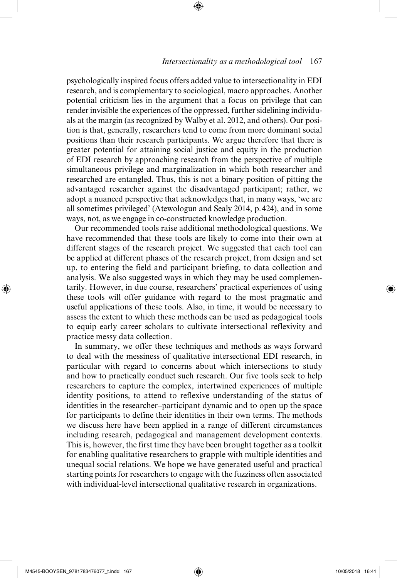# *Intersectionality as a methodological tool* 167

psychologically inspired focus offers added value to intersectionality in EDI research, and is complementary to sociological, macro approaches. Another potential criticism lies in the argument that a focus on privilege that can render invisible the experiences of the oppressed, further sidelining individuals at the margin (as recognized by Walby et al. 2012, and others). Our position is that, generally, researchers tend to come from more dominant social positions than their research participants. We argue therefore that there is greater potential for attaining social justice and equity in the production of EDI research by approaching research from the perspective of multiple simultaneous privilege and marginalization in which both researcher and researched are entangled. Thus, this is not a binary position of pitting the advantaged researcher against the disadvantaged participant; rather, we adopt a nuanced perspective that acknowledges that, in many ways, 'we are all sometimes privileged' (Atewologun and Sealy 2014, p.424), and in some ways, not, as we engage in co-constructed knowledge production.

⊕

Our recommended tools raise additional methodological questions. We have recommended that these tools are likely to come into their own at different stages of the research project. We suggested that each tool can be applied at different phases of the research project, from design and set up, to entering the field and participant briefing, to data collection and analysis. We also suggested ways in which they may be used complementarily. However, in due course, researchers' practical experiences of using these tools will offer guidance with regard to the most pragmatic and useful applications of these tools. Also, in time, it would be necessary to assess the extent to which these methods can be used as pedagogical tools to equip early career scholars to cultivate intersectional reflexivity and practice messy data collection.

In summary, we offer these techniques and methods as ways forward to deal with the messiness of qualitative intersectional EDI research, in particular with regard to concerns about which intersections to study and how to practically conduct such research. Our five tools seek to help researchers to capture the complex, intertwined experiences of multiple identity positions, to attend to reflexive understanding of the status of identities in the researcher–participant dynamic and to open up the space for participants to define their identities in their own terms. The methods we discuss here have been applied in a range of different circumstances including research, pedagogical and management development contexts. This is, however, the first time they have been brought together as a toolkit for enabling qualitative researchers to grapple with multiple identities and unequal social relations. We hope we have generated useful and practical starting points for researchers to engage with the fuzziness often associated with individual-level intersectional qualitative research in organizations.

⊕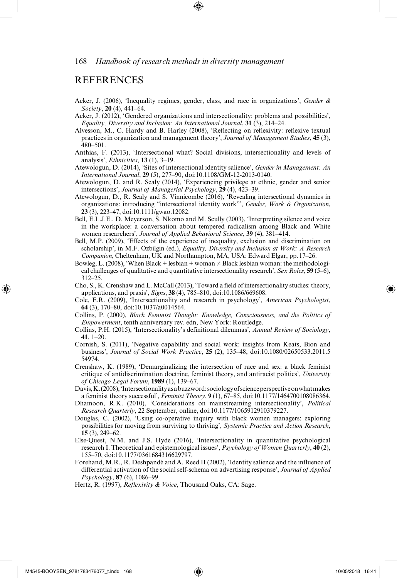# **REFERENCES**

- Acker, J. (2006), 'Inequality regimes, gender, class, and race in organizations', *Gender & Society*, **20** (4), 441–64*.*
- Acker, J. (2012), 'Gendered organizations and intersectionality: problems and possibilities', *Equality, Diversity and Inclusion: An International Journal*, **31** (3), 214–24.
- Alvesson, M., C. Hardy and B. Harley (2008), 'Reflecting on reflexivity: reflexive textual practices in organization and management theory', *Journal of Management Studies*, **45** (3), 480–501.
- Anthias, F. (2013), 'Intersectional what? Social divisions, intersectionality and levels of analysis', *Ethnicities*, **13** (1), 3–19.
- Atewologun, D. (2014), 'Sites of intersectional identity salience', *Gender in Management: An International Journal*, **29** (5), 277–90, doi:10.1108/GM-12-2013-0140.
- Atewologun, D. and R. Sealy (2014), 'Experiencing privilege at ethnic, gender and senior intersections', *Journal of Managerial Psychology*, **29** (4), 423–39.
- Atewologun, D., R. Sealy and S. Vinnicombe (2016), 'Revealing intersectional dynamics in organizations: introducing "intersectional identity work"', *Gender, Work & Organization*, **23** (3), 223–47, doi:10.1111/gwao.12082.
- Bell, E.L.J.E., D. Meyerson, S. Nkomo and M. Scully (2003), 'Interpreting silence and voice in the workplace: a conversation about tempered radicalism among Black and White women researchers', *Journal of Applied Behavioral Science*, **39** (4), 381–414.
- Bell, M.P. (2009), 'Effects of the experience of inequality, exclusion and discrimination on scholarship', in M.F. Özbilgin (ed.), *Equality, Diversity and Inclusion at Work: A Research Companion*, Cheltenham, UK and Northampton, MA, USA: Edward Elgar, pp.17–26.
- Bowleg, L. (2008), 'When Black + lesbian + woman  $\neq$  Black lesbian woman: the methodological challenges of qualitative and quantitative intersectionality research', *Sex Roles*, **59** (5–6), 312–25.
- Cho, S., K. Crenshaw and L. McCall (2013), 'Toward a field of intersectionality studies: theory, applications, and praxis', *Signs*, **38** (4), 785–810, doi:10.1086/669608.
- Cole, E.R. (2009), 'Intersectionality and research in psychology', *American Psychologist*, **64** (3), 170–80, doi:10.1037/a0014564.
- Collins, P. (2000), *Black Feminist Thought: Knowledge, Consciousness, and the Politics of Empowerment*, tenth anniversary rev. edn, New York: Routledge.
- Collins, P.H. (2015), 'Intersectionality's definitional dilemmas', *Annual Review of Sociology*, **41**, 1–20.
- Cornish, S. (2011), 'Negative capability and social work: insights from Keats, Bion and business', *Journal of Social Work Practice*, **25** (2), 135–48, doi:10.1080/02650533.2011.5 54974.
- Crenshaw, K. (1989), 'Demarginalizing the intersection of race and sex: a black feminist critique of antidiscrimination doctrine, feminist theory, and antiracist politics', *University of Chicago Legal Forum*, **1989** (1), 139–67.
- Davis, K. (2008), 'Intersectionality as a buzzword: sociology of science perspective on what makes a feminist theory successful', *Feminist Theory*, **9** (1), 67–85, doi:10.1177/1464700108086364.
- Dhamoon, R.K. (2010), 'Considerations on mainstreaming intersectionality', *Political Research Quarterly*, 22 September, online, doi:10.1177/1065912910379227.
- Douglas, C. (2002), 'Using co-operative inquiry with black women managers: exploring possibilities for moving from surviving to thriving', *Systemic Practice and Action Research*, **15** (3), 249–62.
- Else-Quest, N.M. and J.S. Hyde (2016), 'Intersectionality in quantitative psychological research I. Theoretical and epistemological issues', *Psychology of Women Quarterly*, **40** (2), 155–70, doi:10.1177/0361684316629797.
- Forehand, M.R., R. Deshpandé and A. Reed II (2002), 'Identity salience and the influence of differential activation of the social self-schema on advertising response', *Journal of Applied Psychology*, **87** (6), 1086–99.

Hertz, R. (1997), *Reflexivity & Voice*, Thousand Oaks, CA: Sage.

⊕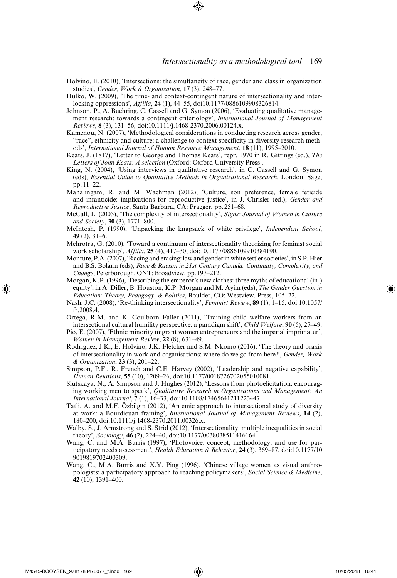- Holvino, E. (2010), 'Intersections: the simultaneity of race, gender and class in organization studies', *Gender, Work & Organization*, **17** (3), 248–77.
- Hulko, W. (2009), 'The time- and context-contingent nature of intersectionality and interlocking oppressions', *Affilia*, **24** (1), 44–55, doi10.1177/0886109908326814.
- Johnson, P., A. Buehring, C. Cassell and G. Symon (2006), 'Evaluating qualitative management research: towards a contingent criteriology', *International Journal of Management Reviews*, **8** (3), 131–56, doi:10.1111/j.1468-2370.2006.00124.x.

Kamenou, N. (2007), 'Methodological considerations in conducting research across gender, "race", ethnicity and culture: a challenge to context specificity in diversity research methods', *International Journal of Human Resource Management*, **18** (11), 1995–2010.

Keats, J. (1817), 'Letter to George and Thomas Keats', repr. 1970 in R. Gittings (ed.), *The Letters of John Keats: A selection* (Oxford: Oxford University Press .

- King, N. (2004), 'Using interviews in qualitative research', in C. Cassell and G. Symon (eds), *Essential Guide to Qualitative Methods in Organizational Research*, London: Sage, pp.11–22.
- Mahalingam, R. and M. Wachman (2012), 'Culture, son preference, female feticide and infanticide: implications for reproductive justice', in J. Chrisler (ed.), *Gender and Reproductive Justice*, Santa Barbara, CA: Praeger, pp.251–68.
- McCall, L. (2005), 'The complexity of intersectionality', *Signs: Journal of Women in Culture and Society*, **30** (3), 1771–800.
- McIntosh, P. (1990), 'Unpacking the knapsack of white privilege', *Independent School*, **49** (2), 31–6.
- Mehrotra, G. (2010), 'Toward a continuum of intersectionality theorizing for feminist social work scholarship', *Affilia*, **25** (4), 417–30, doi:10.1177/0886109910384190.
- Monture, P.A. (2007), 'Racing and erasing: law and gender in white settler societies', in S.P. Hier and B.S. Bolaria (eds), *Race & Racism in 21st Century Canada: Continuity, Complexity, and Change*, Peterborough, ONT: Broadview, pp.197–212.
- Morgan, K.P. (1996), 'Describing the emperor's new clothes: three myths of educational (in-) equity', in A. Diller, B. Houston, K.P. Morgan and M. Ayim (eds), *The Gender Question in Education: Theory, Pedagogy, & Politics*, Boulder, CO: Westview. Press, 105–22.
- Nash, J.C. (2008), 'Re-thinking intersectionality', *Feminist Review*, **89** (1), 1–15, doi:10.1057/ fr.2008.4.

Ortega, R.M. and K. Coulborn Faller (2011), 'Training child welfare workers from an intersectional cultural humility perspective: a paradigm shift', *Child Welfare*, **90** (5), 27–49.

Pio, E. (2007), 'Ethnic minority migrant women entrepreneurs and the imperial imprimatur', *Women in Management Review*, **22** (8), 631–49.

Rodriguez, J.K., E. Holvino, J.K. Fletcher and S.M. Nkomo (2016), 'The theory and praxis of intersectionality in work and organisations: where do we go from here?', *Gender, Work & Organization*, **23** (3), 201–22.

Simpson, P.F., R. French and C.E. Harvey (2002), 'Leadership and negative capability', *Human Relations*, **55** (10), 1209–26, doi:10.1177/0018726702055010081.

- Slutskaya, N., A. Simpson and J. Hughes (2012), 'Lessons from photoelicitation: encouraging working men to speak', *Qualitative Research in Organizations and Management: An International Journal*, **7** (1), 16–33, doi:10.1108/17465641211223447.
- Tatli, A. and M.F. Özbilgin (2012), 'An emic approach to intersectional study of diversity at work: a Bourdieuan framing', *International Journal of Management Reviews*, **14** (2), 180–200, doi:10.1111/j.1468-2370.2011.00326.x.
- Walby, S., J. Armstrong and S. Strid (2012), 'Intersectionality: multiple inequalities in social theory', *Sociology*, **46** (2), 224–40, doi:10.1177/0038038511416164.
- Wang, C. and M.A. Burris (1997), 'Photovoice: concept, methodology, and use for participatory needs assessment', *Health Education & Behavior*, **24** (3), 369–87, doi:10.1177/10 9019819702400309.
- Wang, C., M.A. Burris and X.Y. Ping (1996), 'Chinese village women as visual anthropologists: a participatory approach to reaching policymakers', *Social Science & Medicine*, **42** (10), 1391–400.

⊕